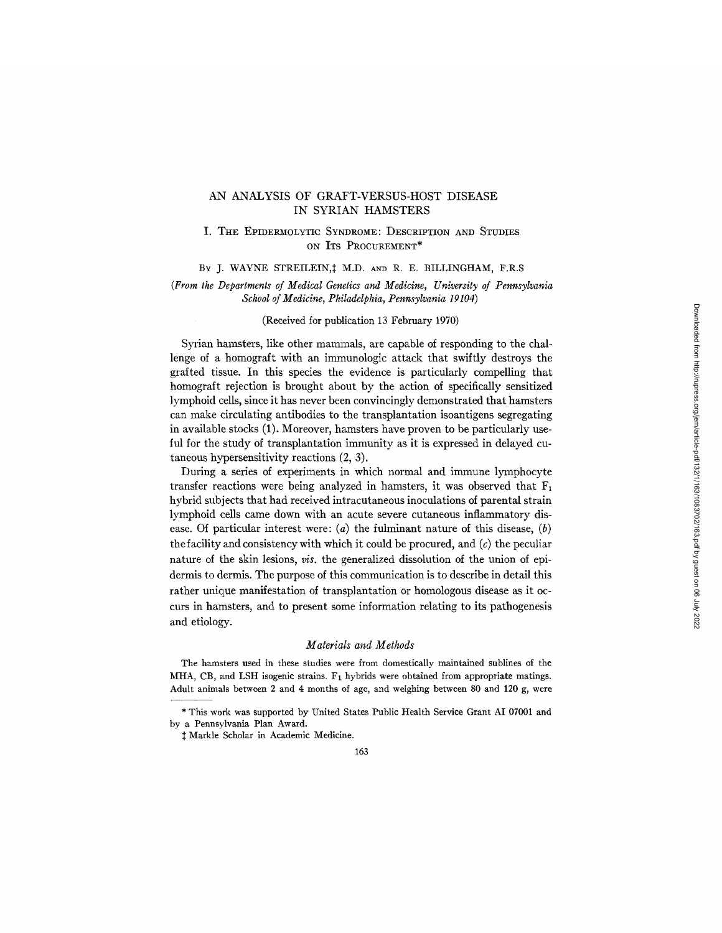# AN ANALYSIS OF GRAFT-VERSUS-HOST DISEASE IN SYRIAN HAMSTERS

## I. THE EPIDERMOLYTIC SYNDROME: DESCRIPTION AND STUDIES ON ITS PROCUREMENT\*

## BY J. WAYNE STREILEIN, # M.D. AND R. E. BILLINGHAM, F.R.S

## *(From the Departments of Medical Genetics and Medicine, University of Pennsylvania School of Medicine, Philadelphia, Pennsylvania 19104)*

### (Received for publication 13 February 1970)

Syrian hamsters, like other mammals, are capable of responding to the challenge of a homograft with an immunologic attack that swiftly destroys the grafted tissue. In this species the evidence is particularly compelling that homograft rejection is brought about by the action of specifically sensitized lymphoid cells, since it has never been convincingly demonstrated that hamsters can make circulating antibodies to the transplantation isoantigens segregating in available stocks (1). Moreover, hamsters have proven to be particularly useful for the study of transplantation immunity as it is expressed in delayed cutaneous hypersensitivity reactions (2, 3).

During a series of experiments in which normal and immune lymphocyte transfer reactions were being analyzed in hamsters, it was observed that F1 hybrid subjects that had received intracutaneous inoculations of parental strain lymphoid cells came down with an acute severe cutaneous inflammatory disease. Of particular interest were:  $(a)$  the fulminant nature of this disease,  $(b)$ the facility and consistency with which it could be procured, and  $(c)$  the peculiar nature of the skin lesions, *vis.* the generalized dissolution of the union of epidermis to dermis. The purpose of this communication is to describe in detail this rather unique manifestation of transplantation or homologous disease as it occurs in hamsters, and to present some information relating to its pathogenesis and etiology.

### *Materials and Methods*

The hamsters used in these studies were from domestically maintained sublines of the MHA, CB, and LSH isogenic strains.  $F_1$  hybrids were obtained from appropriate matings. Adult animals between 2 and 4 months of age, and weighing between 80 and 120 g, were

<sup>\*</sup> This work was supported by United States Public Health Service Grant AI 07001 and by a Pennsylvania Plan Award.

 $~{\ddagger}$  Markle Scholar in Academic Medicine.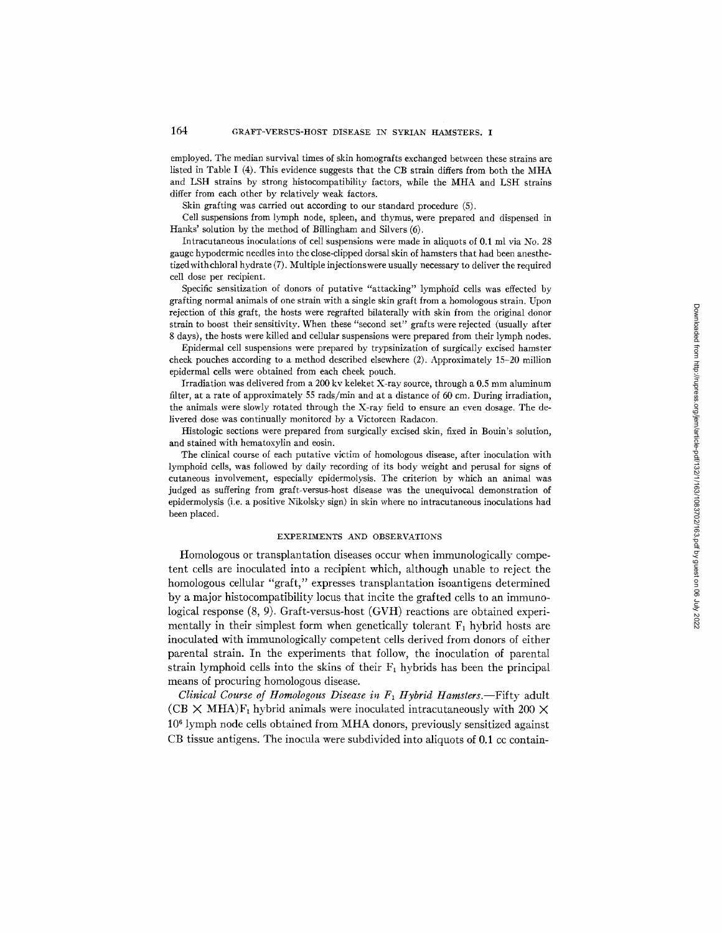employed. The median survival times of skin homografts exchanged between these strains are listed in Table I (4). This evidence suggests that the CB strain differs from both the MHA and LSH strains by strong histocompatibility factors, while the MHA and LSH strains differ from each other by relatively weak factors.

Skin grafting was carried out according to our standard procedure (5).

Cell suspensions from lymph node, spleen, and thymus, were prepared and dispensed in Hanks' solution by the method of Billingham and Silvers (6).

Intracutaneous inoculations of cell suspensions were made in aliquots of 0.1 ml via No. 28 gauge hypodermic needles into the close-clipped dorsal skin of hamsters that had been anesthetizedwithchloral hydrate (7). Multiple injectionswere usually necessary to deliver the required cell dose per recipient.

Specific sensitization of donors of putative "attacking" lymphoid cells was effected by grafting normal animals of one strain with a single skin graft from a homologous strain. Upon rejection of this graft, the hosts were regrafted bilaterally with skin from the original donor strain to boost their sensitivity. When these "second set" grafts were rejected (usually after 8 days), the hosts were killed and cellular suspensions were prepared from their lymph nodes.

Epidermal cell suspensions were prepared by trypsinization of surgically excised hamster cheek pouches according to a method described elsewhere (2). Approximately 15-20 million epidermal cells were obtained from each cheek pouch.

Irradiation was delivered from a 200 kv keleket X-ray source, through a 0.5 mm aluminum filter, at a rate of approximately 55 rads/min and at a distance of 60 cm. During irradiation, the animals were slowly rotated through the X-ray field to ensure an even dosage. The delivered dose was continually monitored by a Victoreen Radacon.

Histologic sections were prepared from surgically excised skin, fixed in Bouin's solution, and stained with hematoxylin and eosin.

The clinical course of each putative victim of homologous disease, after inoculation with lymphoid cells, was followed by daily recording of its body weight and perusal for signs of cutaneous involvement, especially epidermolysis. The criterion by which an animal was judged as suffering from graft-versus-host disease was the unequivocal demonstration of epidermolysis (i.e. a positive Nikolsky sign) in skin where no intracutaneous inoculations had been placed.

### EXPERIMENTS AND OBSERVATIONS

Homologous or transplantation diseases occur when immunologically competent cells are inoculated into a recipient which, although unable to reject the homologous cellular "graft," expresses transplantation isoantigens determined by a major histocompatibility locus that incite the grafted cells to an immunological response (8, 9). Graft-versus-host (GVH) reactions are obtained experimentally in their simplest form when genetically tolerant  $F_1$  hybrid hosts are inoculated with immunologically competent cells derived from donors of either parental strain. In the experiments that follow, the inoculation of parental strain lymphoid cells into the skins of their  $F_1$  hybrids has been the principal means of procuring homologous disease.

*Clinical Course of Homologous Disease in F<sub>1</sub> Hybrid Hamsters.*—Fifty adult  $(CB \times MHA)F_1$  hybrid animals were inoculated intracutaneously with 200  $\times$ 106 lymph node cells obtained from MHA donors, previously sensitized against CB tissue antigens. The inocula were subdivided into aliquots of 0.1 cc contain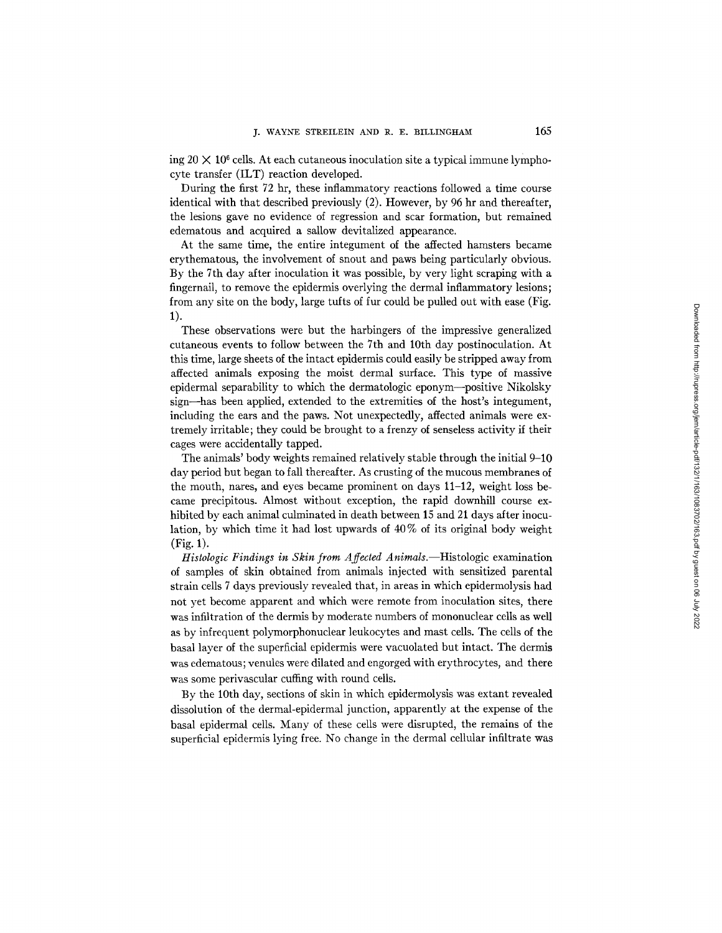ing  $20 \times 10^6$  cells. At each cutaneous inoculation site a typical immune lymphocyte transfer (ILT) reaction developed.

During the first 72 hr, these inflammatory reactions followed a time course identical with that described previously (2). However, by 96 hr and thereafter, the lesions gave no evidence of regression and scar formation, but remained edematous and acquired a sallow devitalized appearance.

At the same time, the entire integument of the affected hamsters became erythematous, the involvement of snout and paws being particularly obvious. By the 7th day after inoculation it was possible, by very light scraping with a fingernail, to remove the epidermis overlying the dermal inflammatory lesions; from any site on the body, large tufts of fur could be pulled out with ease (Fig. 1).

These observations were but the harbingers of the impressive generalized cutaneous events to follow between the 7th and 10th day postinoculation. At this time, large sheets of the intact epidermis could easily be stripped away from affected animals exposing the moist dermal surface. This type of massive epidermal separability to which the dermatologic eponym--positive Nikolsky sign--has been applied, extended to the extremities of the host's integument, including the ears and the paws. Not unexpectedly, affected animals were extremely irritable; they could be brought to a frenzy of senseless activity if their cages were accidentally tapped.

The animals' body weights remained relatively stable through the initial 9-10 day period but began to fall thereafter. As crusting of the mucous membranes of the mouth, nares, and eyes became prominent on days 11-12, weight loss became precipitous. Almost without exception, the rapid downhill course exhibited by each animal culminated in death between 15 and 21 days after inoculation, by which time it had lost upwards of 40% of its original body weight (Fig. 1).

*Histologic Findings in Skin from Affected Animals.*—Histologic examination of samples of skin obtained from animals injected with sensitized parental strain cells 7 days previously revealed that, in areas in which epidermolysis had not yet become apparent and which were remote from inoculation sites, there was infiltration of the dermis by moderate numbers of mononuclear cells as well as by infrequent polymorphonuclear leukocytes and mast cells. The cells of the basal layer of the superficial epidermis were vacuolated but intact. The dermis was edematous; venules were dilated and engorged with erythrocytes, and there was some perivascular cuffing with round cells.

By the 10th day, sections of skin in which epidermolysis was extant revealed dissolution of the dermal-epidermal junction, apparently at the expense of the basal epidermal cells. Many of these cells were disrupted, the remains of the superficial epidermis lying free. No change in the dermal cellular infiltrate was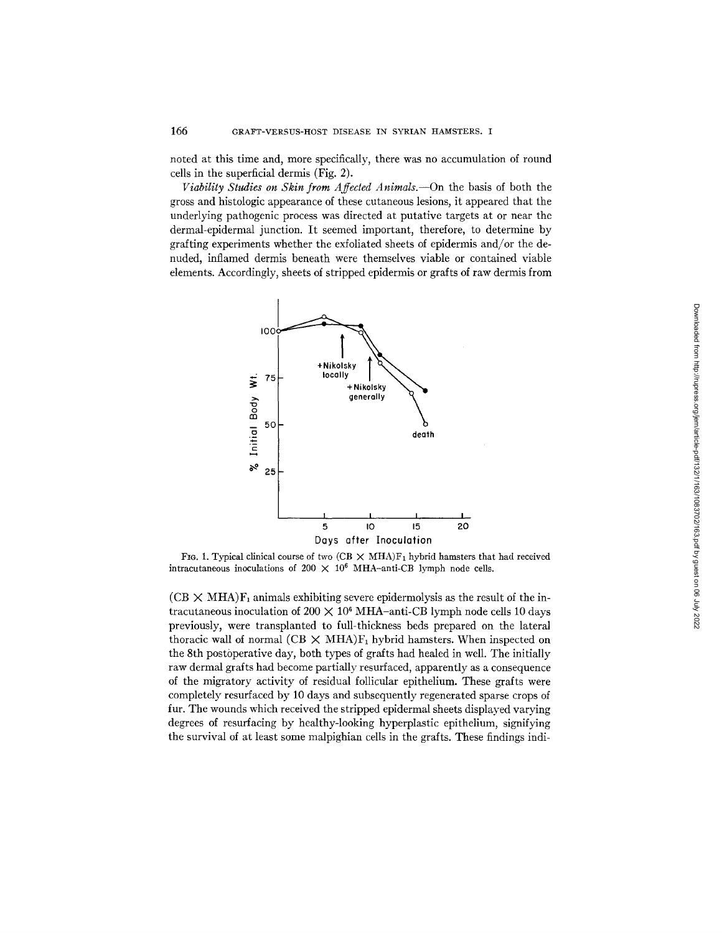noted at this time and, more specifically, there was no accumulation of round cells in the superficial dermis (Fig. 2).

*Viability Studies on Skin from Affected Animals.--On* the basis of both the gross and histologic appearance of these cutaneous lesions, it appeared that the underlying pathogenic process was directed at putative targets at or near the dermal-epidermal junction. It seemed important, therefore, to determine by grafting experiments whether the exfoliated sheets of epidermis and/or the denuded, inflamed dermis beneath were themselves viable or contained viable elements. Accordingly, sheets of stripped epidermis or grafts of raw dermis from



FIG. 1. Typical clinical course of two (CB  $\times$  MHA)F<sub>1</sub> hybrid hamsters that had received intracutaneous inoculations of 200  $\times$  10<sup>6</sup> MHA-anti-CB lymph node cells.

 $(CB \times MHA)F_1$  animals exhibiting severe epidermolysis as the result of the intracutaneous inoculation of 200  $\times$  10<sup>6</sup> MHA-anti-CB lymph node cells 10 days previously, were transplanted to full-thickness beds prepared on the lateral thoracic wall of normal  $(CB \times MHA)F_1$  hybrid hamsters. When inspected on the 8th postoperative day, both types of grafts had healed in well. The initially raw dermal grafts had become partially resurfaced, apparently as a consequence of the migratory activity of residual follicular epithelium. These grafts were completely resurfaced by 10 days and subsequently regenerated sparse crops of fur. The wounds which received the stripped epidermal sheets displayed varying degrees of resurfacing by healthy-looking hyperplastic epithelium, signifying the survival of at least some malpighian cells in the grafts. These findings indi-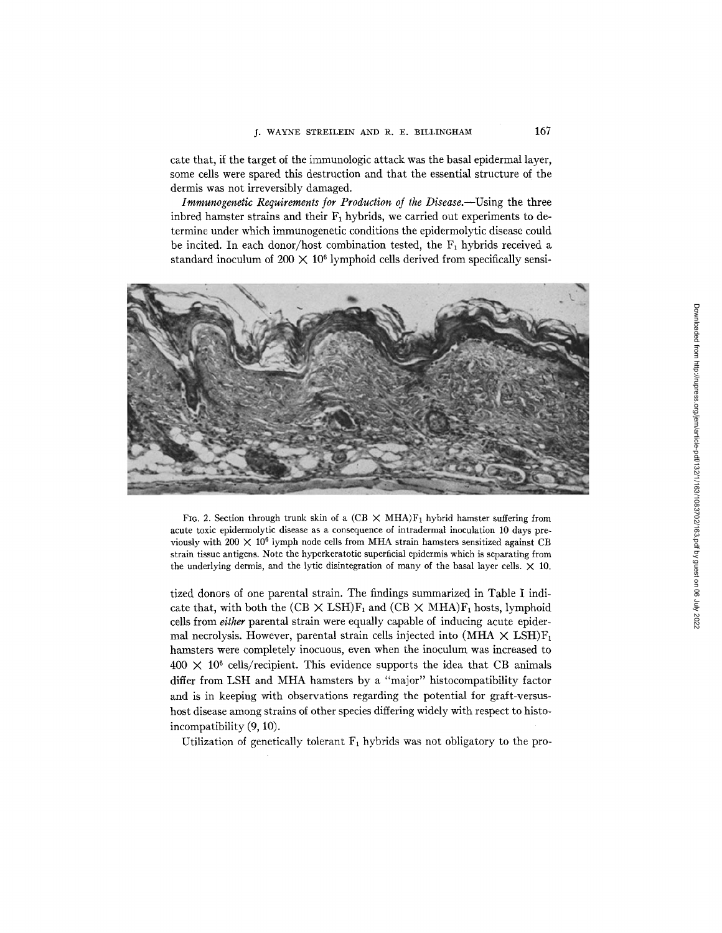care that, if the target of the immunologic attack was the basal epidermal layer, some cells were spared this destruction and that the essential structure of the dermis was not irreversibly damaged.

*Immunogenetic Requirements for Production of the Disease.*—Using the three inbred hamster strains and their  $F_1$  hybrids, we carried out experiments to determine under which immunogenetic conditions the epidermolytic disease could be incited. In each donor/host combination tested, the  $F_1$  hybrids received a standard inoculum of 200  $\times$  10<sup>6</sup> lymphoid cells derived from specifically sensi-



FIG. 2. Section through trunk skin of a (CB  $\times$  MHA)F<sub>1</sub> hybrid hamster suffering from acute toxic epidermolytic disease as a consequence of intradermal inoculation 10 days previously with 200  $\times$  10<sup>6</sup> lymph node cells from MHA strain hamsters sensitized against CB strain tissue antigens. Note the hyperkeratotic superficial epidermis which is separating from the underlying dermis, and the lytic disintegration of many of the basal layer cells.  $\times$  10.

tized donors of one parental strain. The findings summarized in Table I indicate that, with both the  $(CB \times LSH)F_1$  and  $(CB \times MHA)F_1$  hosts, lymphoid cells from *either* parental strain were equally capable of inducing acute epidermal necrolysis. However, parental strain cells injected into  $(MHA \times LSH)F_1$ hamsters were completely inocuous, even when the inoculum was increased to  $400 \times 10^6$  cells/recipient. This evidence supports the idea that CB animals differ from LSH and MHA hamsters by a "major" histocompatibility factor and is in keeping with observations regarding the potential for graft-versushost disease among strains of other species differing widely with respect to histoincompatibility (9, 10).

Utilization of genetically tolerant  $F_1$  hybrids was not obligatory to the pro-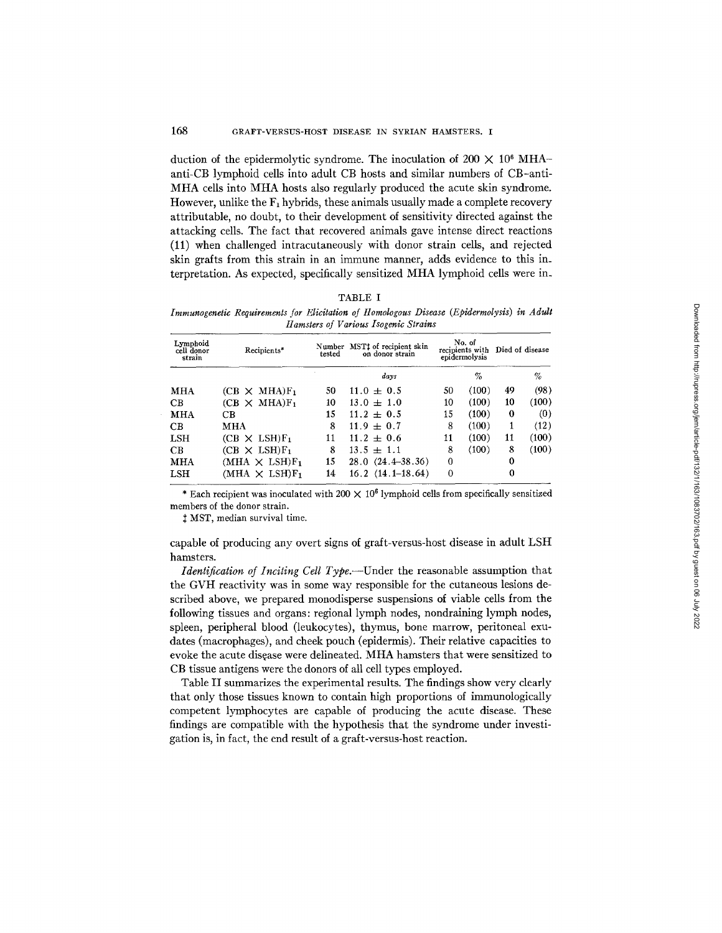duction of the epidermolytic syndrome. The inoculation of  $200 \times 10^6$  MHAanti-CB lymphoid cells into adult CB hosts and similar numbers of CB-anti-MHA cells into MHA hosts also regularly produced the acute skin syndrome. However, unlike the  $F_1$  hybrids, these animals usually made a complete recovery attributable, no doubt, to their development of sensitivity directed against the attacking cells. The fact that recovered animals gave intense direct reactions (11) when challenged intracutaneously with donor strain cells, and rejected skin grafts from this strain in an immune manner, adds evidence to this in\_ terpretation. As expected, specifically sensitized MHA lymphoid cells were in\_

| н |  |
|---|--|
|---|--|

*lmmunogenetic Requirements for Elicitation of Homologous Disease (Epidermolysis) in Adult Hamsters of Various Isogenic Strains* 

| Lymphoid<br>cell donor<br>strain | Recipients*                      | Number<br>tested | MST1 of recipient skin<br>on donor strain |          | No. of<br>recipients with<br>epidermolysis |    | Died of disease |
|----------------------------------|----------------------------------|------------------|-------------------------------------------|----------|--------------------------------------------|----|-----------------|
|                                  |                                  |                  | days                                      |          | $\%$                                       |    | %               |
| <b>MHA</b>                       | $(CB \times MHA)F_1$             | 50               | $11.0 \pm 0.5$                            | 50       | (100)                                      | 49 | (98)            |
| CВ                               | $(CB \times MHA)F_1$             | 10               | $13.0 \pm 1.0$                            | 10       | (100)                                      | 10 | (100)           |
| <b>MHA</b>                       | CВ                               | 15               | $11.2 \pm 0.5$                            | 15       | (100)                                      | 0  | (0)             |
| CВ                               | MHA                              | 8                | $11.9 \pm 0.7$                            | 8        | (100)                                      | 1  | (12)            |
| <b>LSH</b>                       | $(CB \times LSH)F_1$             | 11               | $11.2 + 0.6$                              | 11       | (100)                                      | 11 | (100)           |
| CB                               | $(CB \times LSH)F_1$             | 8                | $13.5 \pm 1.1$                            | 8        | (100)                                      | 8  | (100)           |
| <b>MHA</b>                       | $(MHA \times LSH)F_1$            | 15               | $28.0(24.4-38.36)$                        | $\bf{0}$ |                                            | 0  |                 |
| LSH                              | (MHA $\times$ LSH)F <sub>1</sub> | 14               | $16.2$ $(14.1-18.64)$                     | $\bf{0}$ |                                            | 0  |                 |

\* Each recipient was inoculated with 200  $\times$  10<sup>6</sup> lymphoid cells from specifically sensitized members of the donor strain.

 $†$  MST, median survival time.

capable of producing any overt signs of graft-versus-host disease in adult LSH hamsters.

*Identification of Inciting Cell Type.*—Under the reasonable assumption that the GVH reactivity was in some way responsible for the cutaneous lesions described above, we prepared monodisperse suspensions of viable cells from the following tissues and organs: regional lymph nodes, nondraining lymph nodes, spleen, peripheral blood (leukocytes), thymus, bone marrow, peritoneal exudates (macrophages), and cheek pouch (epidermis). Their relative capacities to evoke the acute disease were delineated. MHA hamsters that were sensitized to CB tissue antigens were the donors of all cell types employed.

Table II summarizes the experimental results. The findings show very clearly that only those tissues known to contain high proportions of immunologically competent lymphocytes are capable of producing the acute disease. These findings are compatible with the hypothesis that the syndrome under investigation is, in fact, the end result of a graft-versus-host reaction.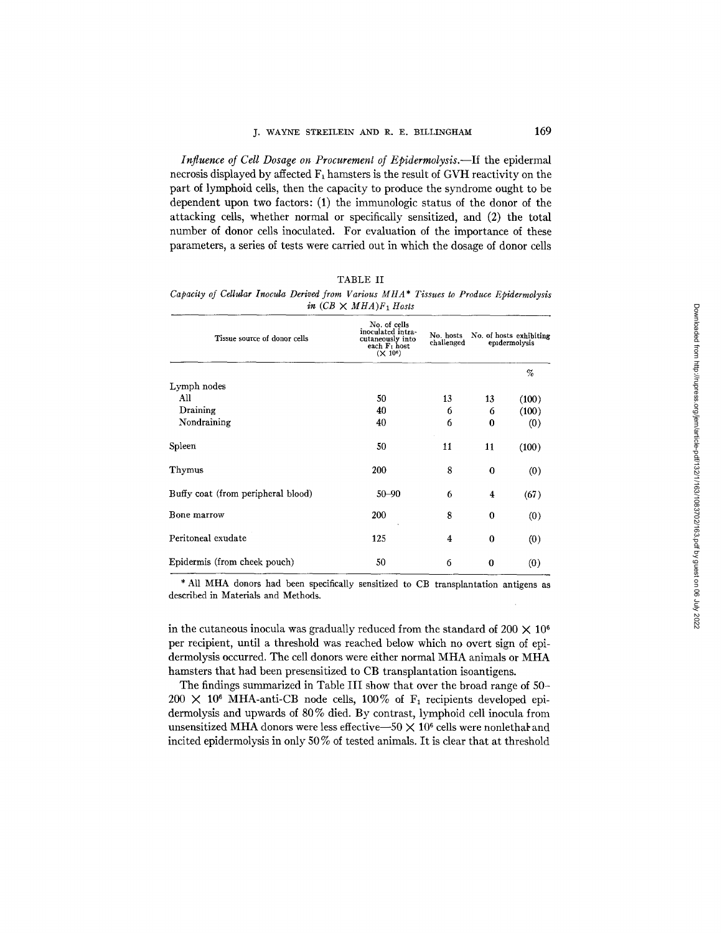*Influence of Cell Dosage on Procurement of Epidermolysis.*—If the epidermal necrosis displayed by affected  $F_1$  hamsters is the result of GVH reactivity on the part of lymphoid cells, then the capacity to produce the syndrome ought to be dependent upon two factors: (1) the immunologic status of the donor of the attacking cells, whether normal or specifically sensitized, and (2) the total number of donor cells inoculated. For evaluation of the importance of these parameters, a series of tests were carried out in which the dosage of donor cells

| <b>TABLE</b> |  |  |
|--------------|--|--|
|              |  |  |

*Capacity of Cellular Inocula Derived from Various MHA\* Tissues to Produce Epidermolysis in*  $(CB \times MHA)F_1$  *Hosts* 

| Tissue source of donor cells       | No. of cells<br>inoculated intra-<br>No. hosts<br>cutaneously into<br>challenged<br>each F <sub>1</sub> host<br>(X 10 <sup>6</sup> ) |    | No. of hosts exhibiting<br>epidermolysis |       |  |
|------------------------------------|--------------------------------------------------------------------------------------------------------------------------------------|----|------------------------------------------|-------|--|
|                                    |                                                                                                                                      |    |                                          | %     |  |
| Lymph nodes                        |                                                                                                                                      |    |                                          |       |  |
| All                                | 50                                                                                                                                   | 13 | 13                                       | (100) |  |
| Draining                           | 40                                                                                                                                   | 6  | 6                                        | (100) |  |
| Nondraining                        | 40                                                                                                                                   | 6  | $\bf{0}$                                 | (0)   |  |
| Spleen                             | 50                                                                                                                                   | 11 | 11                                       | (100) |  |
| Thymus                             | 200                                                                                                                                  | 8  | $\bf{0}$                                 | (0)   |  |
| Buffy coat (from peripheral blood) | $50 - 90$                                                                                                                            | 6  | 4                                        | (67)  |  |
| Bone marrow                        | 200                                                                                                                                  | 8  | $\mathbf{0}$                             | (0)   |  |
| Peritoneal exudate                 | 125                                                                                                                                  | 4  | $\bf{0}$                                 | (0)   |  |
| Epidermis (from cheek pouch)       | 50                                                                                                                                   | 6  | 0                                        | (0)   |  |

\* All MHA donors had been specifically sensitized to CB transplantation antigens as described in Materials and Methods.

in the cutaneous inocula was gradually reduced from the standard of  $200 \times 10^6$ per recipient, until a threshold was reached below which no overt sign of epidermolysis occurred. The cell donors were either normal MHA animals or MHA hamsters that had been presensitized to CB transplantation isoantigens.

The findings summarized in Table III show that over the broad range of 50-  $200 \times 10^6$  MHA-anti-CB node cells,  $100\%$  of F<sub>1</sub> recipients developed epidermolysis and upwards of 80% died. By contrast, lymphoid cell inocula from unsensitized MHA donors were less effective—50  $\times$  10<sup>6</sup> cells were nonlethaf and incited epidermolysis in only 50 % of tested animals. It is clear that at threshold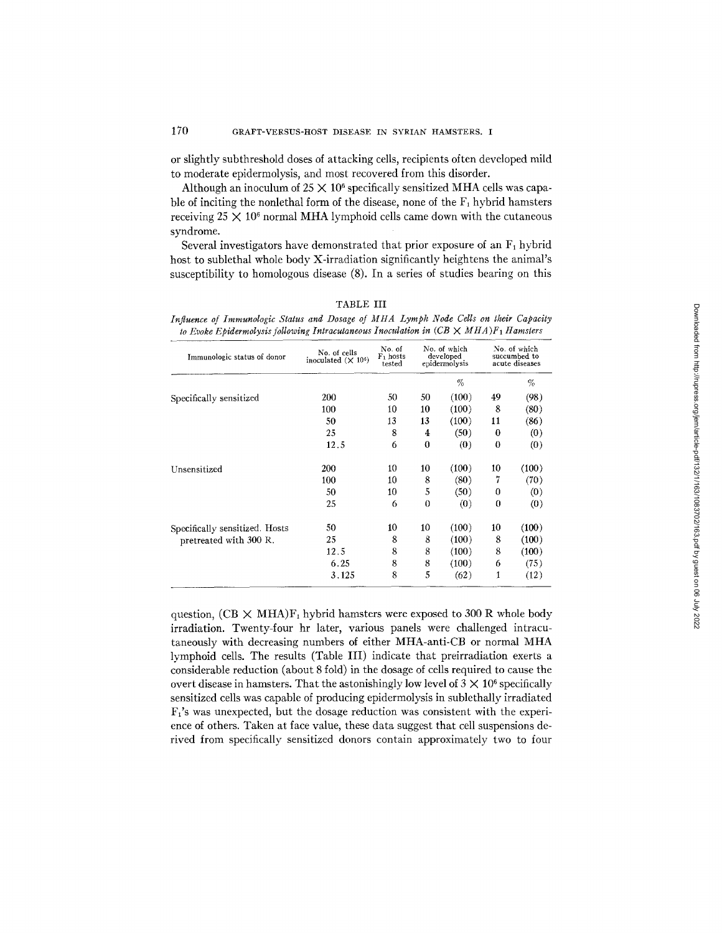or slightly subthreshold doses of attacking cells, recipients often developed mild to moderate epidermolysis, and most recovered from this disorder.

Although an inoculum of  $25 \times 10^6$  specifically sensitized MHA cells was capable of inciting the nonlethal form of the disease, none of the  $F_1$  hybrid hamsters receiving  $25 \times 10^6$  normal MHA lymphoid cells came down with the cutaneous syndrome.

Several investigators have demonstrated that prior exposure of an  $F_1$  hybrid host to sublethal whole body X-irradiation significantly heightens the animal's susceptibility to homologous disease (8). In a series of studies bearing on this

|                                | .,                                         |                                 |                                            |       |                                                |       |
|--------------------------------|--------------------------------------------|---------------------------------|--------------------------------------------|-------|------------------------------------------------|-------|
| Immunologic status of donor    | No. of cells<br>inoculated $(\times 10^6)$ | No. of<br>$F_1$ hosts<br>tested | No. of which<br>developed<br>epidermolysis |       | No. of which<br>succumbed to<br>acute diseases |       |
|                                |                                            |                                 |                                            | %     |                                                | %     |
| Specifically sensitized        | 200                                        | 50                              | 50                                         | (100) | 49                                             | (98)  |
|                                | 100                                        | 10                              | 10                                         | (100) | 8                                              | (80)  |
|                                | 50                                         | 13                              | 13                                         | (100) | 11                                             | (86)  |
|                                | 25                                         | 8                               | 4                                          | (50)  | $\bf{0}$                                       | (0)   |
|                                | 12.5                                       | 6                               | $\theta$                                   | (0)   | $\bf{0}$                                       | (0)   |
| Unsensitized                   | 200                                        | 10                              | 10                                         | (100) | 10                                             | (100) |
|                                | 100                                        | 10                              | 8                                          | (80)  | 7                                              | (70)  |
|                                | 50                                         | 10                              | 5                                          | (50)  | $\bf{0}$                                       | (0)   |
|                                | 25                                         | 6                               | 0                                          | (0)   | $\boldsymbol{0}$                               | (0)   |
| Specifically sensitized. Hosts | 50                                         | 10                              | 10                                         | (100) | 10                                             | (100) |
| pretreated with 300 R.         | 25                                         | 8                               | 8                                          | (100) | 8                                              | (100) |
|                                | 12.5                                       | 8                               | 8                                          | (100) | 8                                              | (100) |
|                                | 6.25                                       | 8                               | 8                                          | (100) | 6                                              | (75)  |
|                                | 3.125                                      | 8                               | 5                                          | (62)  | 1                                              | (12)  |
|                                |                                            |                                 |                                            |       |                                                |       |

TABLE III

*Influence of Immunologic Status and Dosage of MHA Lymph Node Cells on their Capacity to Evoke Epidermolysis following Intracutaneous Inoculation in*  $(CB \times MHA)F_1$  *Hamsters* 

question,  $(CB \times MHA)F_1$  hybrid hamsters were exposed to 300 R whole body irradiation. Twenty-four hr later, various panels were challenged intracutaneously with decreasing numbers of either MHA-anti-CB or normal MHA lymphoid cells. The results (Table III) indicate that preirradiation exerts a considerable reduction (about 8 fold) in the dosage of cells required to cause the overt disease in hamsters. That the astonishingly low level of  $3 \times 10^6$  specifically sensitized cells was capable of producing epidermolysis in sublethally irradiated  $F_1$ 's was unexpected, but the dosage reduction was consistent with the experience of others. Taken at face value, these data suggest that cell suspensions derived from specifically sensitized donors contain approximately two to four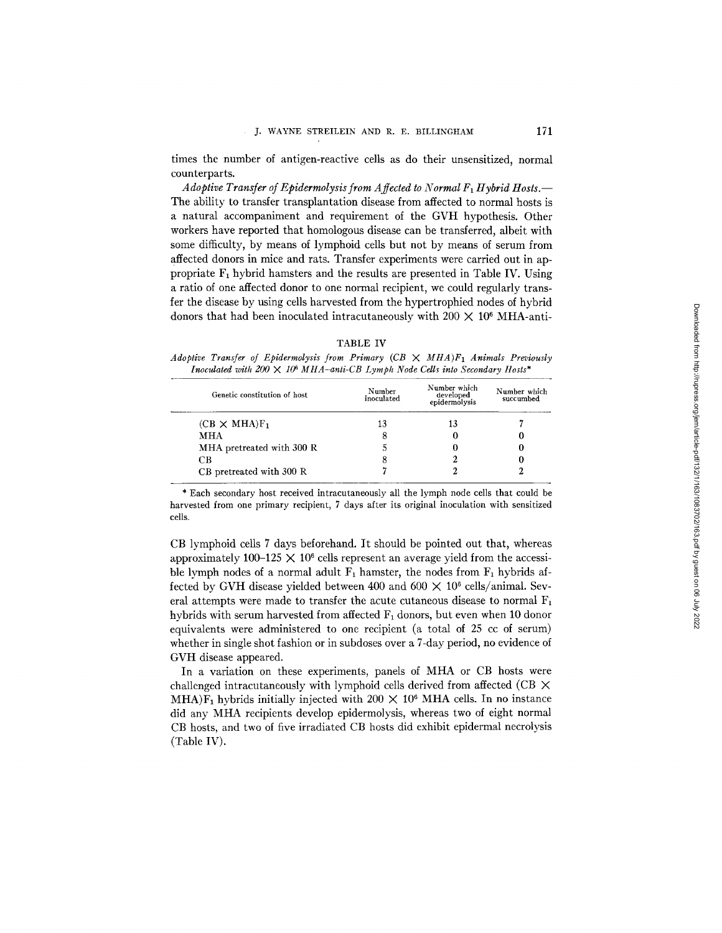times the number of antigen-reactive cells as do their unsensitized, normal counterparts.

*Adoptive Transfer of Epidermolysis from Affected to Normal*  $F_1 H$ *ybrid Hosts.*-The ability to transfer transplantation disease from affected to normal hosts is a natural accompaniment and requirement of the GVH hypothesis. Other workers have reported that homologous disease can be transferred, albeit with some difficulty, by means of lymphoid cells but not by means of serum from affected donors in mice and rats. Transfer experiments were carried out in appropriate  $F_1$  hybrid hamsters and the results are presented in Table IV. Using a ratio of one affected donor to one normal recipient, we could regularly transfer the disease by using cells harvested from the hypertrophied nodes of hybrid donors that had been inoculated intracutaneously with  $200 \times 10^6$  MHA-anti-

TABLE IV

*Adoptive Transfer of Epidermolysis from Primary (CB X MHA)F1 Animals Previously Inoculated with 200 X 106 MHA-anti-CB Lymph Node Cells into Secondary Hosts\** 

| Genetic constitution of host | Number<br>inoculated | Number which<br>developed<br>epidermolysis | Number which<br>succumbed |
|------------------------------|----------------------|--------------------------------------------|---------------------------|
| $(CB \times MHA)F_1$         | 13                   | 13                                         |                           |
| <b>MHA</b>                   |                      |                                            |                           |
| MHA pretreated with 300 R    |                      |                                            |                           |
| CВ                           |                      |                                            |                           |
| CB pretreated with 300 R     |                      |                                            |                           |

\* Each secondary host received intracutaneously all the lymph node cells that could be harvested from one primary recipient, 7 days after its original inoculation with sensitized cells.

CB lymphoid cells 7 days beforehand. It should be pointed out that, whereas approximately  $100-125 \times 10^6$  cells represent an average yield from the accessible lymph nodes of a normal adult  $F_1$  hamster, the nodes from  $F_1$  hybrids affected by GVH disease yielded between 400 and 600  $\times$  10<sup>6</sup> cells/animal. Several attempts were made to transfer the acute cutaneous disease to normal  $F_1$ hybrids with serum harvested from affected  $F_1$  donors, but even when 10 donor equivalents were administered to one recipient (a total of 25 cc of serum) whether in single shot fashion or in subdoses over a 7-day period, no evidence of GVH disease appeared.

In a variation on these experiments, panels of MHA or CB hosts were challenged intracutaneously with lymphoid cells derived from affected (CB X MHA)F<sub>1</sub> hybrids initially injected with 200  $\times$  10<sup>6</sup> MHA cells. In no instance did any MHA recipients develop epidermolysis, whereas two of eight normal CB hosts, and two of five irradiated CB hosts did exhibit epidermal necrolysis (Table IV).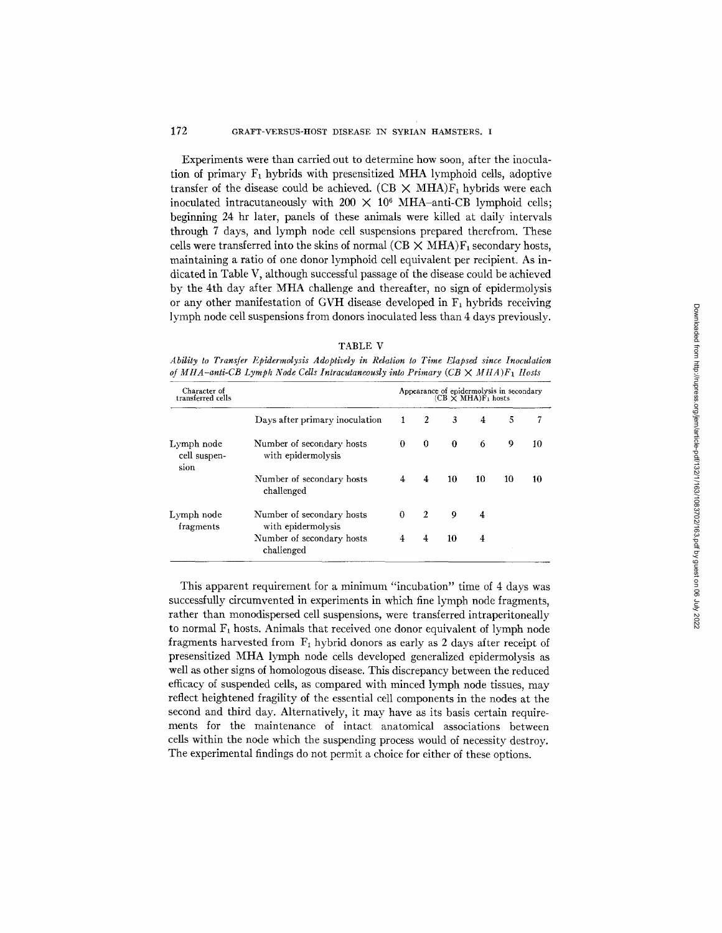## 172 GRAfT-VERSUS-HOST DISEASE IN SYRIAN HAMSTERS. I

Experiments were than carried out to determine how soon, after the inoculation of primary  $F_1$  hybrids with presensitized MHA lymphoid cells, adoptive transfer of the disease could be achieved.  $(CB \times MHA)F_1$  hybrids were each inoculated intracutaneously with  $200 \times 10^6$  MHA-anti-CB lymphoid cells; beginning 24 hr later, panels of these animals were killed at daily intervals through 7 days, and lymph node cell suspensions prepared therefrom. These cells were transferred into the skins of normal  $(CB \times MHA)F_1$  secondary hosts, maintaining a ratio of one donor lymphoid cell equivalent per recipient. As indicated in Table V, although successful passage of the disease could be achieved by the 4th day after MHA challenge and thereafter, no sign of epidermolysis or any other manifestation of GVH disease developed in  $F_1$  hybrids receiving lymph node cell suspensions from donors inoculated less than 4 days previously.

### TABLE V

*Ability to Transfer Epldermolysis Adoptively in Relation to Time Elapsed since Inoculation of MHA-anti-CB Lymph Node Cells Intracutaneously into Primary (CB X MHA )FI Hosts* 

| Character of<br>transferred cells  |                                                 |          |                         | Appearance of epidermolysis in secondary<br>$(CB \times MHA)F_1$ hosts |    |    |    |
|------------------------------------|-------------------------------------------------|----------|-------------------------|------------------------------------------------------------------------|----|----|----|
|                                    | Days after primary inoculation                  | 1        | 2                       | 3                                                                      | 4  | 5  |    |
| Lymph node<br>cell suspen-<br>sion | Number of secondary hosts<br>with epidermolysis |          | $\Omega$                | $\mathbf{0}$                                                           | 6  | 9  | 10 |
|                                    | Number of secondary hosts<br>challenged         | 4        | $\overline{\mathbf{4}}$ | 10                                                                     | 10 | 10 | 10 |
| Lymph node<br>fragments            | Number of secondary hosts<br>with epidermolysis | $\Omega$ | $\overline{2}$          | 9                                                                      | 4  |    |    |
|                                    | Number of secondary hosts<br>challenged         | 4        | 4                       | 10                                                                     | 4  |    |    |

This apparent requirement for a minimum "incubation" time of 4 days was successfully circumvented in experiments in which fine lymph node fragments, rather than monodispersed cell suspensions, were transferred intraperitoneally to normal  $F_1$  hosts. Animals that received one donor equivalent of lymph node fragments harvested from  $F_1$  hybrid donors as early as 2 days after receipt of presensitized MHA lymph node cells developed generalized epidermolysis as well as other signs of homologous disease. This discrepancy between the reduced efficacy of suspended cells, as compared with minced lymph node tissues, may reflect heightened fragility of the essential cell components in the nodes at the second and third day. Alternatively, it may have as its basis certain requirements for the maintenance of intact anatomical associations between cells within the node which the suspending process would of necessity destroy. The experimental findings do not permit a choice for either of these options.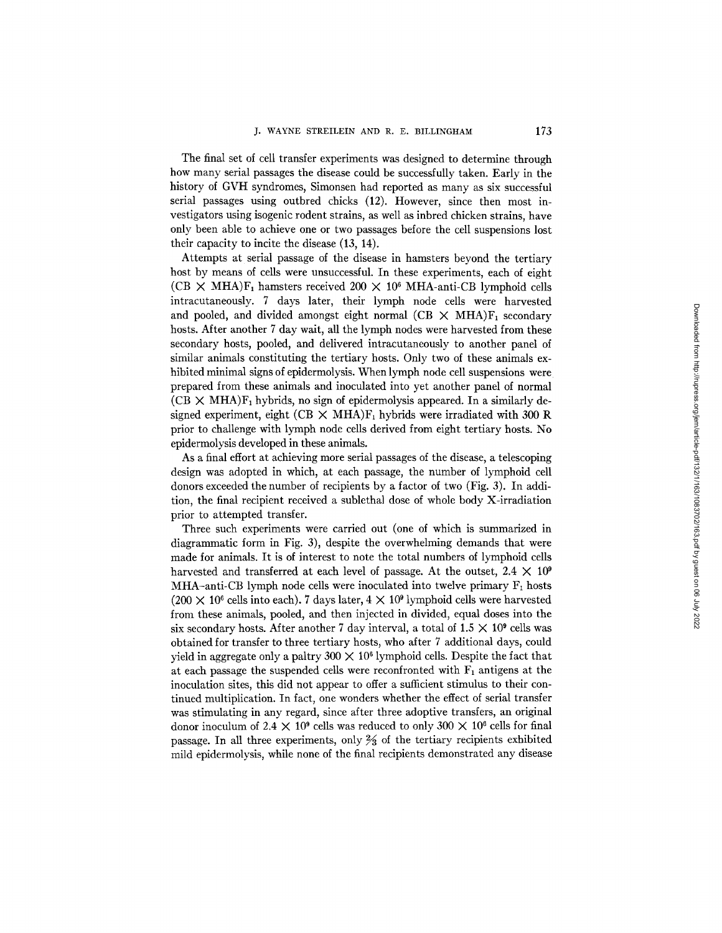The final set of cell transfer experiments was designed to determine through how many serial passages the disease could be successfully taken. Early in the history of GVH syndromes, Simonsen had reported as many as six successful serial passages using outbred chicks (12). However, since then most investigators using isogenic rodent strains, as well as inbred chicken strains, have only been able to achieve one or two passages before the cell suspensions lost their capacity to incite the disease (13, 14).

Attempts at serial passage of the disease in hamsters beyond the tertiary host by means of cells were unsuccessful. In these experiments, each of eight (CB  $\times$  MHA)F<sub>1</sub> hamsters received 200  $\times$  10<sup>6</sup> MHA-anti-CB lymphoid cells intracutaneously. 7 days later, their lymph node cells were harvested and pooled, and divided amongst eight normal (CB  $\times$  MHA)F<sub>1</sub> secondary hosts. After another 7 day wait, all the lymph nodes were harvested from these secondary hosts, pooled, and delivered intracutaneously to another panel of similar animals constituting the tertiary hosts. Only two of these animals exhibited minimal signs of epidermolysis. When lymph node cell suspensions were prepared from these animals and inoculated into yet another panel of normal  $(CB)$   $\times$  MHA)F<sub>1</sub> hybrids, no sign of epidermolysis appeared. In a similarly designed experiment, eight (CB  $\times$  MHA)F<sub>1</sub> hybrids were irradiated with 300 R prior to challenge with lymph node cells derived from eight tertiary hosts. No epidermolysis developed in these animals.

As a final effort at achieving more serial passages of the disease, a telescoping design was adopted in which, at each passage, the number of lymphoid cell donors exceeded the number of recipients by a factor of two (Fig. 3). In addition, the final recipient received a sublethal dose of whole body X-irradiation prior to attempted transfer.

Three such experiments were carried out (one of which is summarized in diagrammatic form in Fig. 3), despite the overwhelming demands that were made for animals. It is of interest to note the total numbers of lymphoid cells harvested and transferred at each level of passage. At the outset,  $2.4 \times 10^9$ MHA-anti-CB lymph node cells were inoculated into twelve primary  $F_1$  hosts  $(200 \times 10^6 \text{ cells into each})$ . 7 days later,  $4 \times 10^9$  lymphoid cells were harvested from these animals, pooled, and then injected in divided, equal doses into the six secondary hosts. After another 7 day interval, a total of  $1.5 \times 10^9$  cells was obtained for transfer to three tertiary hosts, who after 7 additional days, could yield in aggregate only a paltry  $300 \times 10^6$  lymphoid cells. Despite the fact that at each passage the suspended cells were reconfronted with  $F_1$  antigens at the inoculation sites, this did not appear to offer a sufficient stimulus to their continued multiplication. In fact, one wonders whether the effect of serial transfer was stimulating in any regard, since after three adoptive transfers, an original donor inoculum of 2.4  $\times$  10<sup>9</sup> cells was reduced to only 300  $\times$  10<sup>6</sup> cells for final passage. In all three experiments, only  $\frac{2}{3}$  of the tertiary recipients exhibited mild epidermolysis, while none of the final recipients demonstrated any disease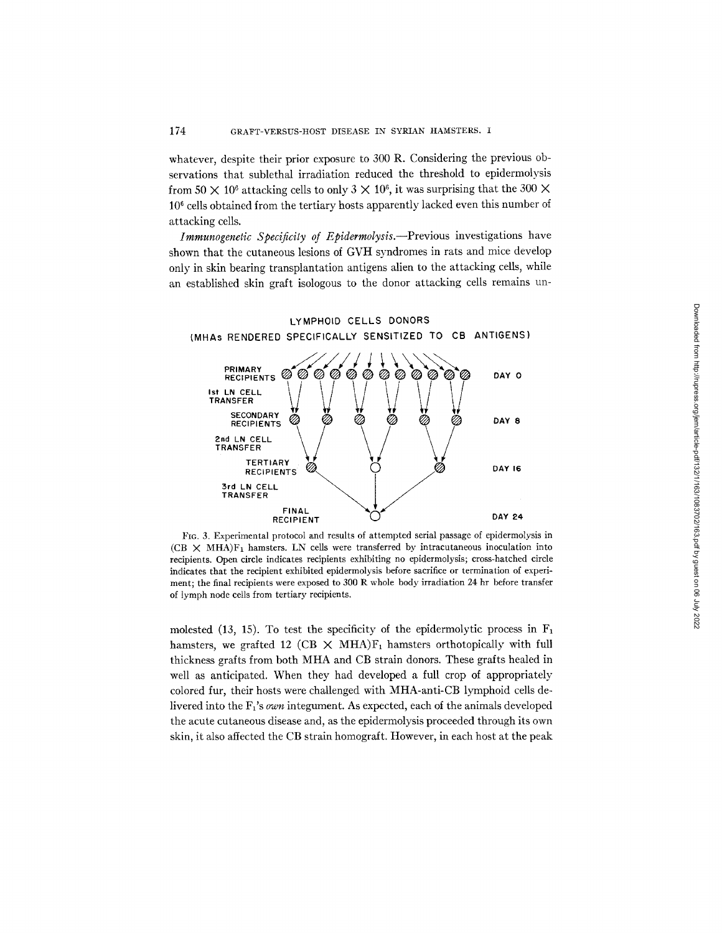whatever, despite their prior exposure to 300 R. Considering the previous observations that sublethal irradiation reduced the threshold to epidermolysis from 50  $\times$  10<sup>6</sup> attacking cells to only 3  $\times$  10<sup>6</sup>, it was surprising that the 300  $\times$ 106 cells obtained from the tertiary hosts apparently lacked even this number of attacking cells.

*Immunogenetic Specificity of Epidermolysis.--Previous* investigations have shown that the cutaneous lesions of GVH syndromes in rats and mice develop only in skin bearing transplantation antigens alien to the attacking cells, while an established skin graft isologous to the donor attacking cells remains un-



FIG. 3. Experimental protocol and results of attempted serial passage of epidermolysis in  $(CB \times MHA)F_1$  hamsters. LN cells were transferred by intracutaneous inoculation into recipients. Open circle indicates recipients exhibiting no epidermolysis; cross-hatched circle indicates that the recipient exhibited epidermolysis before sacrifice or termination of experiment; the final recipients were exposed to 300 R whole body irradiation 24 hr before transfer of lymph node cells from tertiary recipients.

molested (13, 15). To test the specificity of the epidermolytic process in  $F_1$ hamsters, we grafted 12 (CB  $\times$  MHA)F<sub>1</sub> hamsters orthotopically with full thickness grafts from both MHA and CB strain donors. These grafts healed in well as anticipated. When they had developed a full crop of appropriately colored fur, their hosts were challenged with MHA-anti-CB lymphoid cells delivered into the F,'s *own* integument. As expected, each of the animals developed the acute cutaneous disease and, as the epidermolysis proceeded through its own skin, it also affected the CB strain homograft. However, in each host at the peak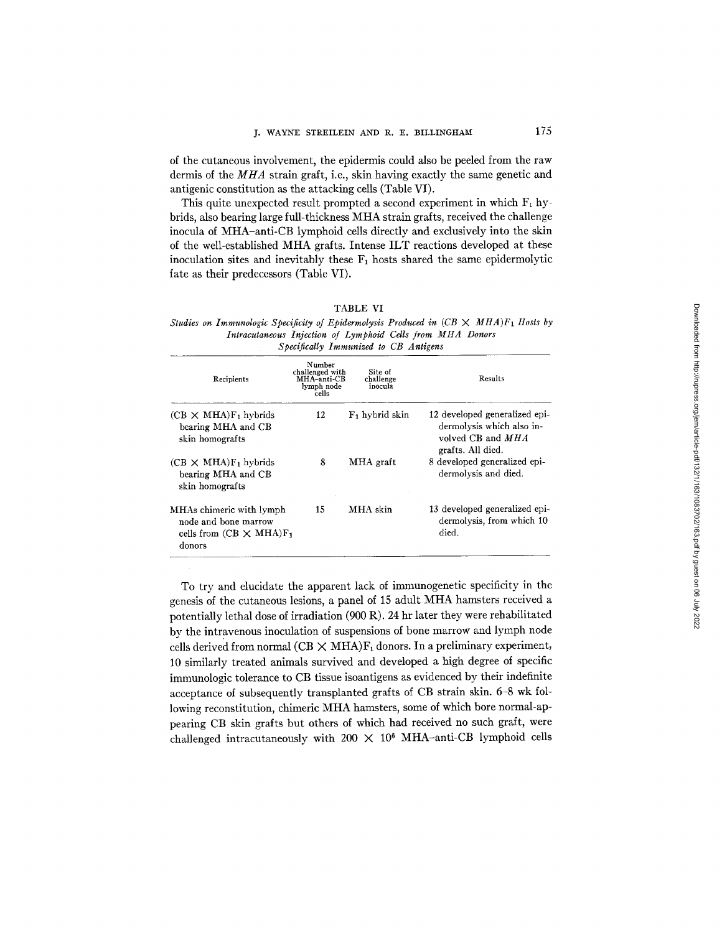of the cutaneous involvement, the epidermis could also be peeled from the raw dermis of the *MHA* strain graft, i.e., skin having exactly the same genetic and antigenic constitution as the attacking cells (Table VI).

This quite unexpected result prompted a second experiment in which  $F_1$  hybrids, also bearing large full-thickness MHA strain grafts, received the challenge inocula of MHA-anti-CB lymphoid cells directly and exclusively into the skin of the well-established MHA grafts. Intense ILT reactions developed at these inoculation sites and inevitably these  $F_1$  hosts shared the same epidermolytic fate as their predecessors (Table VI).

| ٦.<br>A BL F | ٠, |
|--------------|----|
|              |    |

*Studies on Immunologic Specificity of Epidermolysis Produced in (CB X MHA)F1 Hosts by Intracutaneous Injection of Lymphoid Cells from MHA Donors Specifically Immunized to CB Antigens* 

| Recipients                                                                                    | Number<br>challenged with<br>MHA-anti-CB<br>lymph node<br>cells | Site of<br>challenge<br>inocula | Results                                                                                                     |
|-----------------------------------------------------------------------------------------------|-----------------------------------------------------------------|---------------------------------|-------------------------------------------------------------------------------------------------------------|
| $(CB \times MHA)F_1$ hybrids<br>bearing MHA and CB<br>skin homografts                         | 12                                                              | $F_1$ hybrid skin               | 12 developed generalized epi-<br>dermolysis which also in-<br>volved CB and <i>MHA</i><br>grafts. All died. |
| $(CB \times MHA)F_1$ hybrids<br>bearing MHA and CB<br>skin homografts                         | 8                                                               | MHA graft                       | 8 developed generalized epi-<br>dermolysis and died.                                                        |
| MHAs chimeric with lymph<br>node and bone marrow<br>cells from $(CB \times MHA)F_1$<br>donors | 15                                                              | MHA skin                        | 13 developed generalized epi-<br>dermolysis, from which 10<br>died.                                         |

To try and elucidate the apparent lack of immunogenetic specificity in the genesis of the cutaneous lesions, a panel of 15 adult MHA hamsters received a potentially lethal dose of irradiation (900 R). 24 hr later they were rehabilitated by the intravenous inoculation of suspensions of bone marrow and lymph node cells derived from normal  $(CB \times MHA)F_1$  donors. In a preliminary experiment, 10 similarly treated animals survived and developed a high degree of specific immunologic tolerance to CB tissue isoantigens as evidenced by their indefinite acceptance of subsequently transplanted grafts of CB strain skin. 6-8 wk following reconstitution, chimeric MHA hamsters, some of which bore normal-appearing CB skin grafts but others of which had received no such graft, were challenged intracutaneously with 200  $\times$  10<sup>6</sup> MHA-anti-CB lymphoid cells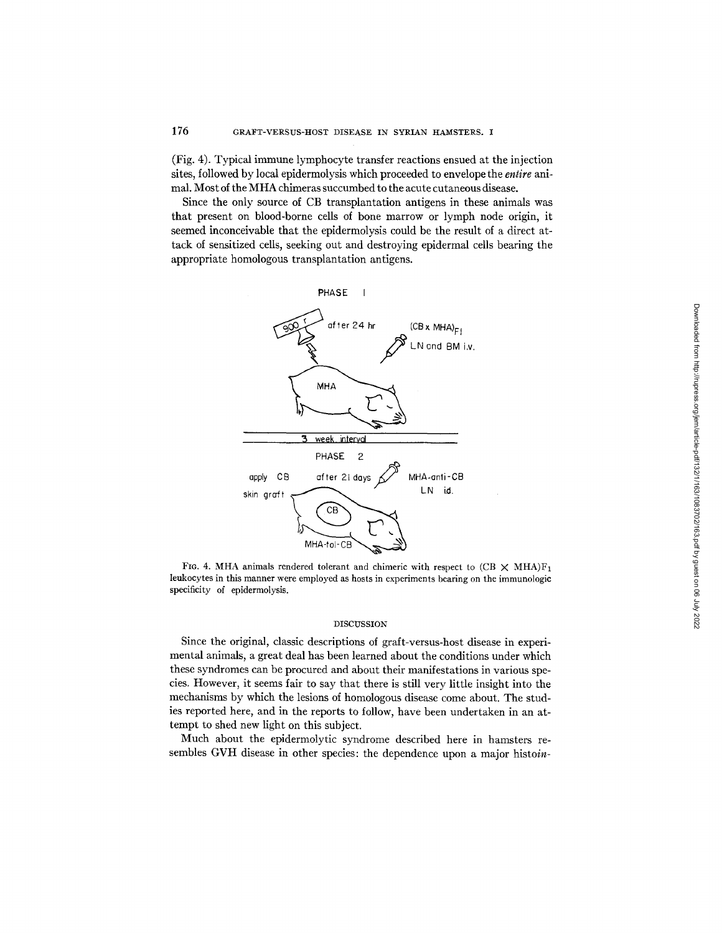(Fig. 4). Typical immune lymphocyte transfer reactions ensued at the injection sites, followed by local epidermolysis which proceeded to envelope the *entire* animal. Most of the MHA chimeras succumbed to the acute cutaneous disease.

Since the only source of CB transplantation antigens in these animals was that present on blood-borne cells of bone marrow or lymph node origin, it seemed inconceivable that the epidermolysis could be the result of a direct attack of sensitized cells, seeking out and destroying epidermal cells bearing the appropriate homologous transplantation antigens.



FIG. 4. MHA animals rendered tolerant and chimeric with respect to (CB  $\times$  MHA)F<sub>1</sub> leukocytes in this manner were employed as hosts in experiments bearing on the immunologic specificity of epidermolysis.

### DISCUSSION

Since the original, classic descriptions of graft-versus-host disease in experimental animals, a great deal has been learned about the conditions under which these syndromes can be procured and about their manifestations in various species. However, it seems fair to say that there is still very little insight into the mechanisms by which the lesions of homologous disease come about. The studies reported here, and in the reports to follow, have been undertaken in an attempt to shed new light on this subject.

Much about the epidermolytic syndrome described here in hamsters resembles GVH disease in other species: the dependence upon a major histoin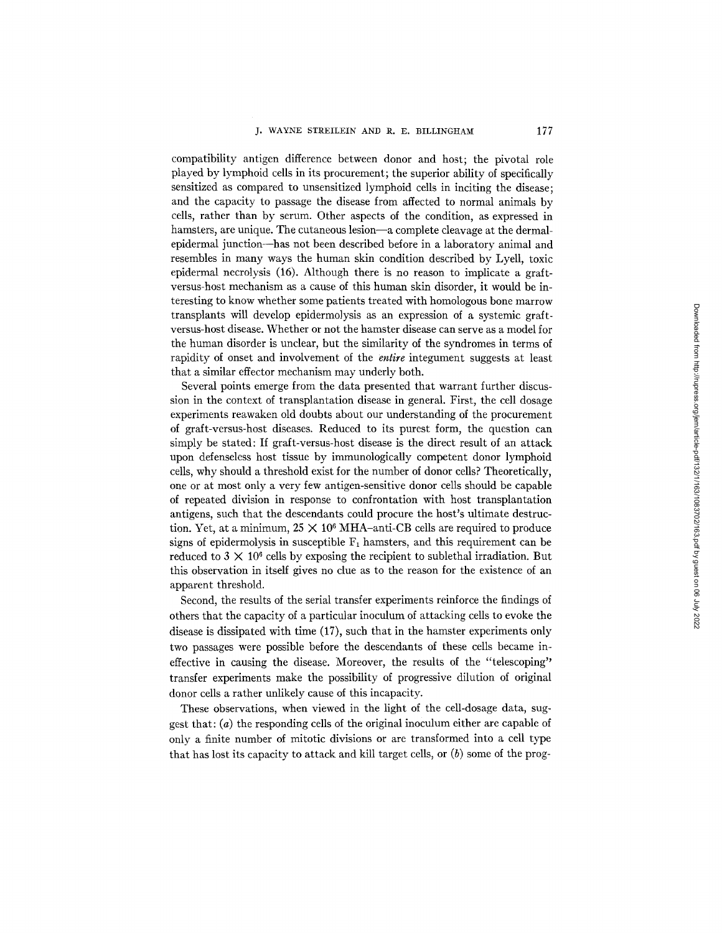compatibility antigen difference between donor and host; the pivotal role played by lymphoid cells in its procurement; the superior ability of specifically sensitized as compared to unsensitized lymphoid cells in inciting the disease; and the capacity to passage the disease from affected to normal animals by cells, rather than by serum. Other aspects of the condition, as expressed in hamsters, are unique. The cutaneous lesion—a complete cleavage at the dermalepidermal junction--has not been described before in a laboratory animal and resembles in many ways the human skin condition described by Lyell, toxic epidermal necrolysis (16). Although there is no reason to implicate a graftversus-host mechanism as a cause of this human skin disorder, it would be interesting to know whether some patients treated with homologous bone marrow transplants will develop epidermolysis as an expression of a systemic graftversus-host disease. Whether or not the hamster disease can serve as a model for the human disorder is unclear, but the similarity of the syndromes in terms of rapidity of onset and involvement of the *entire* integument suggests at least that a similar effector mechanism may underly both.

Several points emerge from the data presented that warrant further discussion in the context of transplantation disease in general. First, the cell dosage experiments reawaken old doubts about our understanding of the procurement of graft-versus-host diseases. Reduced to its purest form, the question can simply be stated: If graft-versus-host disease is the direct result of an attack upon defenseless host tissue by immunologically competent donor lymphoid cells, why should a threshold exist for the number of donor cells? Theoretically, one or at most only a very few antigen-sensitive donor cells should be capable of repeated division in response to confrontation with host transplantation antigens, such that the descendants could procure the host's ultimate destruction. Yet, at a minimum,  $25 \times 10^6$  MHA-anti-CB cells are required to produce signs of epidermolysis in susceptible  $F_1$  hamsters, and this requirement can be reduced to  $3 \times 10^6$  cells by exposing the recipient to sublethal irradiation. But this observation in itself gives no clue as to the reason for the existence of an apparent threshold.

Second, the results of the serial transfer experiments reinforce the findings of others that the capacity of a particular inoculum of attacking cells to evoke the disease is dissipated with time (17), such that in the hamster experiments only two passages were possible before the descendants of these cells became ineffective in causing the disease. Moreover, the results of the "telescoping" transfer experiments make the possibility of progressive dilution of original donor cells a rather unlikely cause of this incapacity.

These observations, when viewed in the light of the cell-dosage data, suggest that:  $(a)$  the responding cells of the original inoculum either are capable of only a finite number of mitotic divisions or are transformed into a cell type that has lost its capacity to attack and kill target cells, or  $(b)$  some of the prog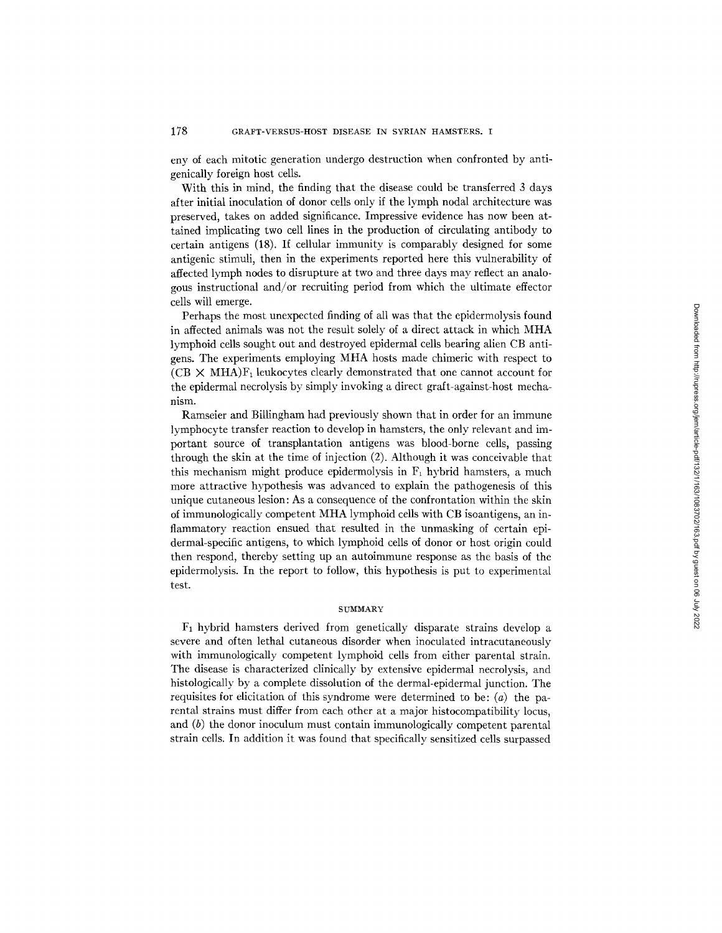eny of each mitotic generation undergo destruction when confronted by antigenically foreign host ceils.

With this in mind, the finding that the disease could be transferred 3 days after initial inoculation of donor cells only if the lymph nodal architecture was preserved, takes on added significance. Impressive evidence has now been attained implicating two cell lines in the production of circulating antibody to certain antigens (18). If cellular immunity is comparably designed for some antigenic stimuli, then in the experiments reported here this vulnerability of affected lymph nodes to disrupture at two and three days may reflect an analogous instructional and/or recruiting period from which the ultimate effector cells will emerge.

Perhaps the most unexpected finding of all was that the epidermolysis found in affected animals was not the result solely of a direct attack in which MHA lymphoid cells sought out and destroyed epidermal cells bearing alien CB antigens. The experiments employing MHA hosts made chimeric with respect to  $(CB \times MHA)F_1$  leukocytes clearly demonstrated that one cannot account for the epidermal necrolysis by simply invoking a direct graft-against-host mechanism.

Ramseier and Billingham had previously shown that in order for an immune lymphocyte transfer reaction to develop in hamsters, the only relevant and important source of transplantation antigens was blood-borne cells, passing through the skin at the time of injection (2). Although it was conceivable that this mechanism might produce epidermolysis in  $F_1$  hybrid hamsters, a much more attractive hypothesis was advanced to explain the pathogenesis of this unique cutaneous lesion: As a consequence of the confrontation within the skin of immunologically competent MHA lymphoid cells with CB isoantigens, an inflammatory reaction ensued that resulted in the unmasking of certain epidermal-specific antigens, to which lymphoid cells of donor or host origin could then respond, thereby setting up an autoimmune response as the basis of the epidermolysis. In the report to follow, this hypothesis is put to experimental test.

#### **SUMMARY**

F1 hybrid hamsters derived from genetically disparate strains develop a severe and often lethal cutaneous disorder when inoculated intracutaneously with immunologically competent lymphoid cells from either parental strain. The disease is characterized clinically by extensive epidermal necrolysis, and histologically by a complete dissolution of the dermal-epidermal junction. The requisites for elicitation of this syndrome were determined to be:  $(a)$  the parental strains must differ from each other at a major histocompatibility locus, and  $(b)$  the donor inoculum must contain immunologically competent parental strain cells. In addition it was found that specifically sensitized cells surpassed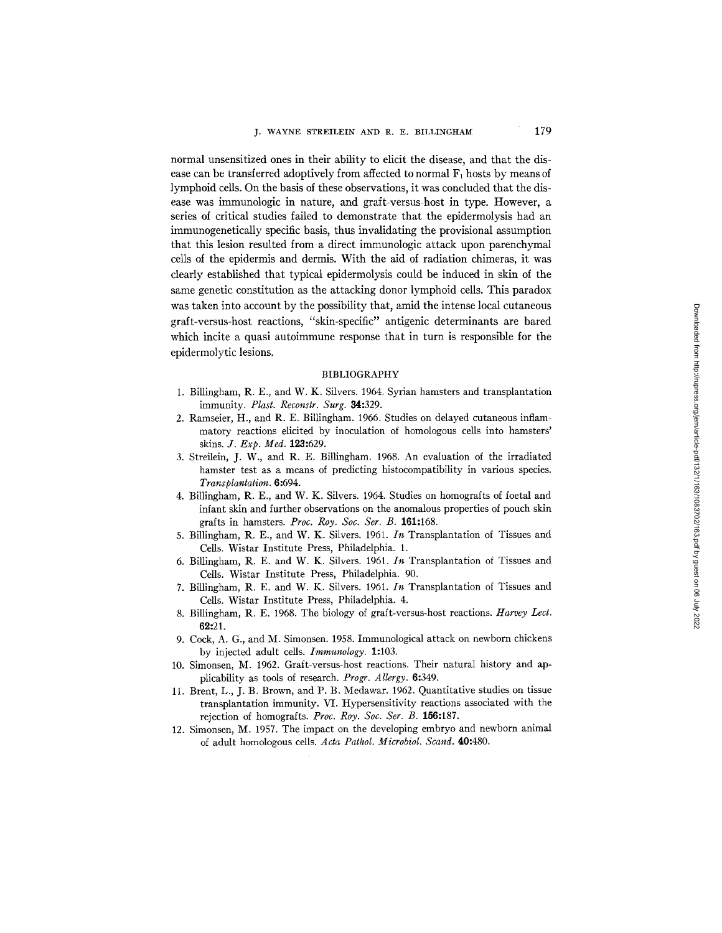normal unsensitized ones in their ability to elicit the disease, and that the disease can be transferred adoptively from affected to normal  $F_1$  hosts by means of lymphoid ceils. On the basis of these observations, it was concluded that the disease was immunologic in nature, and graft-versus-host in type. However, a series of critical studies failed to demonstrate that the epidermolysis had an immunogenetically specific basis, thus invalidating the provisional assumption that this lesion resulted from a direct immunologic attack upon parenchymal cells of the epidermis and dermis. With the aid of radiation chimeras, it was clearly established that typical epidermolysis could be induced in skin of the same genetic constitution as the attacking donor lymphoid cells. This paradox was taken into account by the possibility that, amid the intense local cutaneous graft-versus-host reactions, "skin-specific" antigenic determinants are bared which incite a quasi autoimmune response that in turn is responsible for the epidermolytic lesions.

### BIBLIOGRAPHY

- 1. Billingham, R. E., and W. K. Silvers. 1964. Syrian hamsters and transplantation immunity. *Plast. Reconstr. Surg.* **34:**329.
- 2. Ramseier, H., and R. E. Billingham. 1966. Studies on delayed cutaneous inflammatory reactions elicited by inoculation of homologous cells into hamsters' skins. *J. Exp. Med.* 123:629.
- 3. Streilein, J. W., and R. E. Billingham. 1968. An evaluation of the irradiated hamster test as a means of predicting histocompatibility in various species. *Transplantation*, 6:694.
- 4. Billingham, R. E., and W. K. Silvers. 1964. Studies on homografts of foetal and infant skin and further observations on the anomalous properties of pouch skin grafts in hamsters. *Proc. Roy. Soc. Set. B.* 161:168.
- 5. Billingham, R. E., and W. K. Silvers. 1961. *In* Transplantation of Tissues and Cells. Wistar Institute Press, Philadelphia. 1.
- 6. Billingham, R. E. and W. K. Silvers. 1961. *In* Transplantation of Tissues and Cells. Wistar Institute Press, Philadelphia. 90.
- 7. Billingham, R. E. and W. K. Silvers. 1961. *In* Transplantation of Tissues and Cells. Wistar Institute Press, Philadelphia. 4.
- 8. Billingham, R. E. 1968. The biology of graft-versus-host reactions. *Harvey Leet.*  62:21.
- 9. Cock, A. G., and M. Simonsen. 1958. Immunological attack on newborn chickens by injected adult cells. *Immunology.* 1:103.
- 10. Simonsen, M. 1962. Graft-versus-host reactions. Their natural history and applicability as tools of research. *Progr. Allergy.* 6:349.
- 11. Brent, L., J. B. Brown, and P. B. Medawar. 1962. Quantitative studies on tissue transplantation immunity. VI. Hypersensitivity reactions associated with the rejection of homografts. *Proe. Roy. Soc. Set. B.* 166:187.
- 12. Simonsen, M. 1957. The impact on the developing embryo and newborn animal of adult homologous cells. *Acta Pathol. Microbiol. Seand.* 40:480.